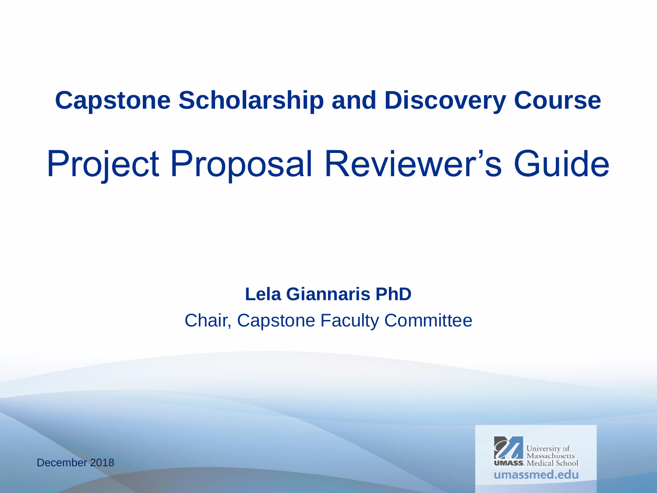### **Capstone Scholarship and Discovery Course**

# Project Proposal Reviewer's Guide

### **Lela Giannaris PhD** Chair, Capstone Faculty Committee

December 2018

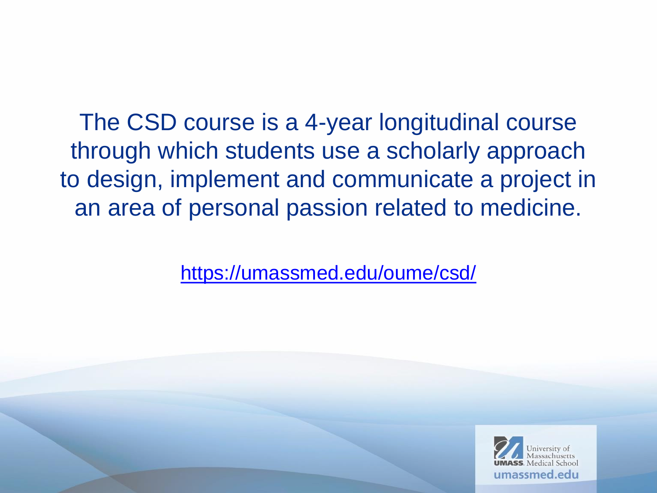The CSD course is a 4-year longitudinal course through which students use a scholarly approach to design, implement and communicate a project in an area of personal passion related to medicine.

[https://umassmed.edu/oume/csd/](http://www.umassmed.edu/oume/capstone-course/)

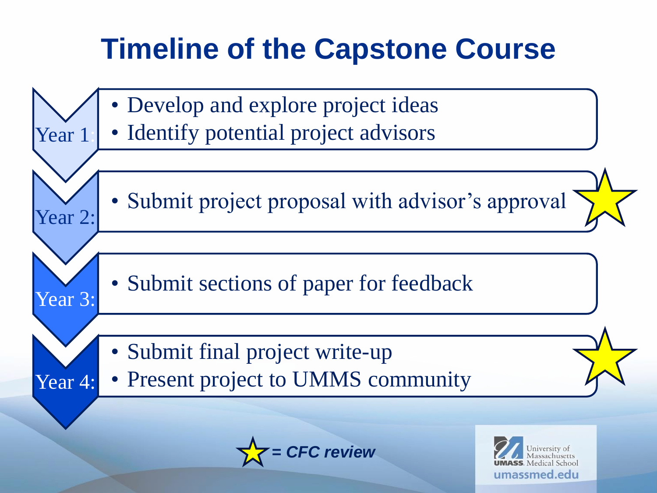# **Timeline of the Capstone Course**



*<u>C</u> review* 

nassmed edu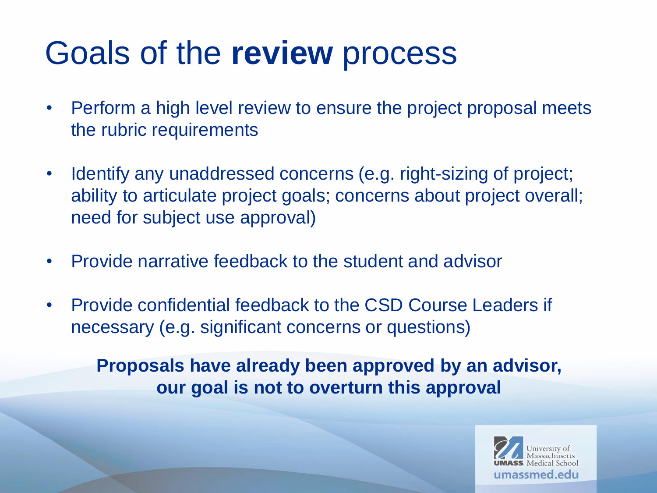# Goals of the **review** process

- Perform a high level review to ensure the project proposal meets the rubric requirements
- Identify any unaddressed concerns (e.g. right-sizing of project; ability to articulate project goals; concerns about project overall; need for subject use approval)
- Provide narrative feedback to the student and advisor
- Provide confidential feedback to the CSD Course Leaders if necessary (e.g. significant concerns or questions)

**Proposals have already been approved by an advisor, our goal is not to overturn this approval**

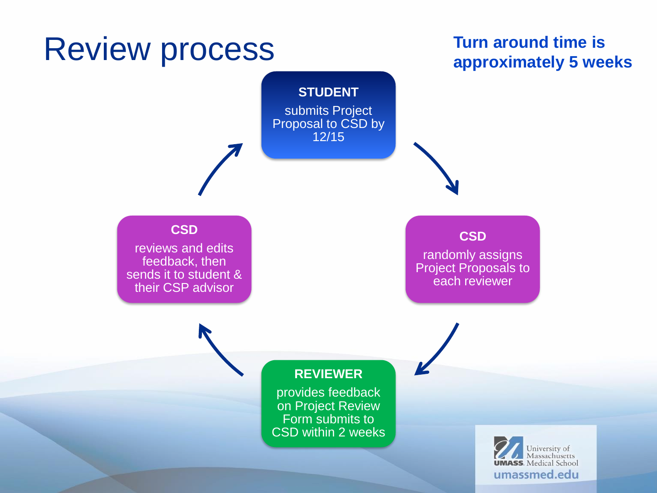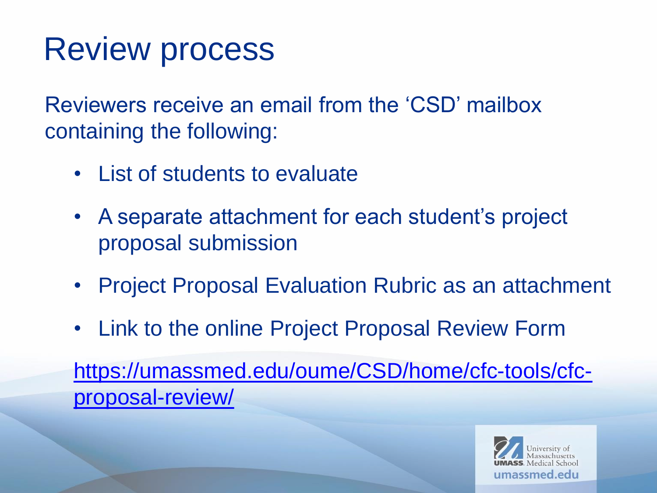# Review process

Reviewers receive an email from the 'CSD' mailbox containing the following:

- List of students to evaluate
- A separate attachment for each student's project proposal submission
- Project Proposal Evaluation Rubric as an attachment
- Link to the online Project Proposal Review Form

[https://umassmed.edu/oume/CSD/home/cfc-tools/cfc](https://umassmed.edu/oume/CSD/home/cfc-tools/cfc-proposal-review/)proposal-review/

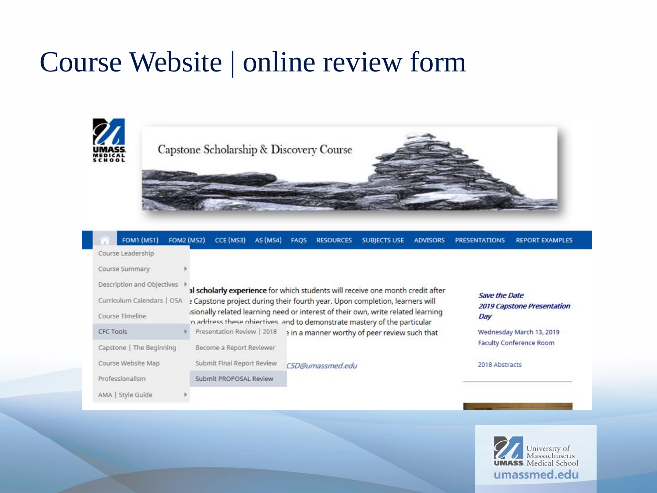### Course Website | online review form





| <b>FOM1</b> (MS1)                                        | <b>FOM2 (MS2)</b><br>CCE (MS3)                                                                                                                                                                                                                               | AS (MS4) | <b>RESOURCES</b><br><b>FAOS</b>               | <b>SUBJECTS USE</b> | <b>ADVISORS</b> | <b>PRESENTATIONS</b> | <b>REPORT EXAMPLES</b>            |
|----------------------------------------------------------|--------------------------------------------------------------------------------------------------------------------------------------------------------------------------------------------------------------------------------------------------------------|----------|-----------------------------------------------|---------------------|-----------------|----------------------|-----------------------------------|
| Course Leadership                                        |                                                                                                                                                                                                                                                              |          |                                               |                     |                 |                      |                                   |
| Course Summary                                           |                                                                                                                                                                                                                                                              |          |                                               |                     |                 |                      |                                   |
| Description and Objectives<br>Curriculum Calendars   OSA | al scholarly experience for which students will receive one month credit after<br><sup>2</sup> Capstone project during their fourth year. Upon completion, learners will<br>isionally related learning need or interest of their own, write related learning |          |                                               |                     |                 | <b>Save the Date</b> | <b>2019 Capstone Presentation</b> |
| Course Timeline                                          | in address these objectives, and to demonstrate mastery of the particular                                                                                                                                                                                    |          |                                               |                     |                 | Day                  |                                   |
| <b>CFC Tools</b>                                         | Presentation Review   2018                                                                                                                                                                                                                                   |          | a in a manner worthy of peer review such that |                     |                 |                      | Wednesday March 13, 2019          |
| Capstone   The Beginning                                 | Become a Report Reviewer                                                                                                                                                                                                                                     |          |                                               |                     |                 |                      | <b>Faculty Conference Room</b>    |
| Course Website Map                                       | Submit Final Report Review                                                                                                                                                                                                                                   |          | CSD@umassmed.edu                              |                     |                 | 2018 Abstracts       |                                   |
| Professionalism                                          | Submit PROPOSAL Review                                                                                                                                                                                                                                       |          |                                               |                     |                 |                      |                                   |
| AMA   Style Guide                                        |                                                                                                                                                                                                                                                              |          |                                               |                     |                 |                      |                                   |

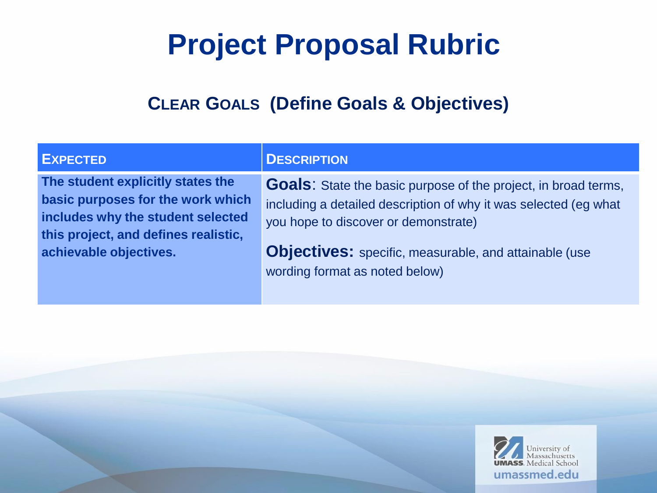#### **CLEAR GOALS (Define Goals & Objectives)**

**The student explicitly states the basic purposes for the work which includes why the student selected this project, and defines realistic, achievable objectives.**

#### **EXPECTED DESCRIPTION**

**Goals**: State the basic purpose of the project, in broad terms, including a detailed description of why it was selected (eg what you hope to discover or demonstrate)

**Objectives:** specific, measurable, and attainable (use wording format as noted below)

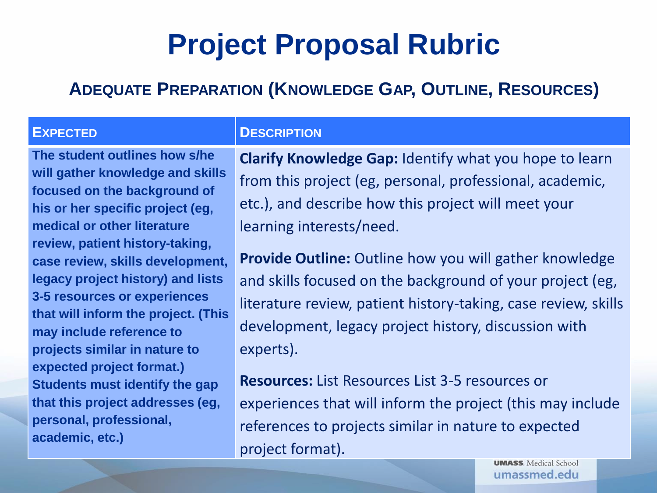#### **ADEQUATE PREPARATION (KNOWLEDGE GAP, OUTLINE, RESOURCES)**

**The student outlines how s/he will gather knowledge and skills focused on the background of his or her specific project (eg, medical or other literature review, patient history-taking, case review, skills development, legacy project history) and lists 3-5 resources or experiences that will inform the project. (This may include reference to projects similar in nature to expected project format.) Students must identify the gap that this project addresses (eg, personal, professional, academic, etc.)**

#### **EXPECTED DESCRIPTION**

**Clarify Knowledge Gap:** Identify what you hope to learn from this project (eg, personal, professional, academic, etc.), and describe how this project will meet your learning interests/need.

**Provide Outline:** Outline how you will gather knowledge and skills focused on the background of your project (eg, literature review, patient history-taking, case review, skills development, legacy project history, discussion with experts).

**Resources:** List Resources List 3-5 resources or experiences that will inform the project (this may include references to projects similar in nature to expected project format).

> **UMASS**. Medical School umassmed.edu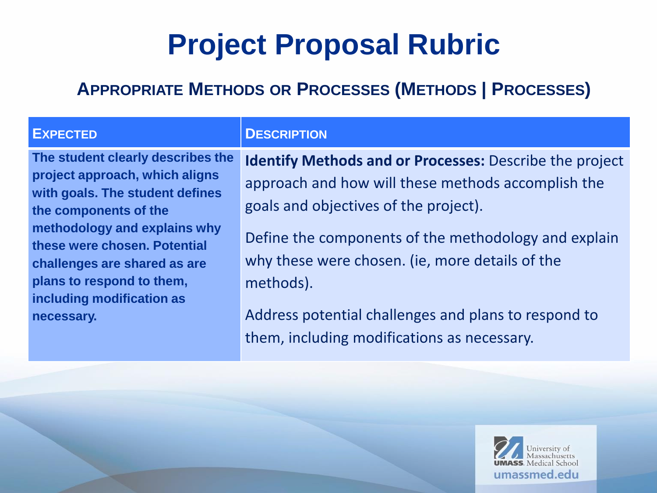#### **APPROPRIATE METHODS OR PROCESSES (METHODS | PROCESSES)**

**necessary.**

**project approach, which aligns with goals. The student defines** 

**methodology and explains why these were chosen. Potential** 

**challenges are shared as are** 

**plans to respond to them, including modification as** 

**the components of the** 

**DESCRIPTION** 

**The student clearly describes the Identify Methods and or Processes:** Describe the project approach and how will these methods accomplish the goals and objectives of the project).

> Define the components of the methodology and explain why these were chosen. (ie, more details of the methods).

Address potential challenges and plans to respond to them, including modifications as necessary.

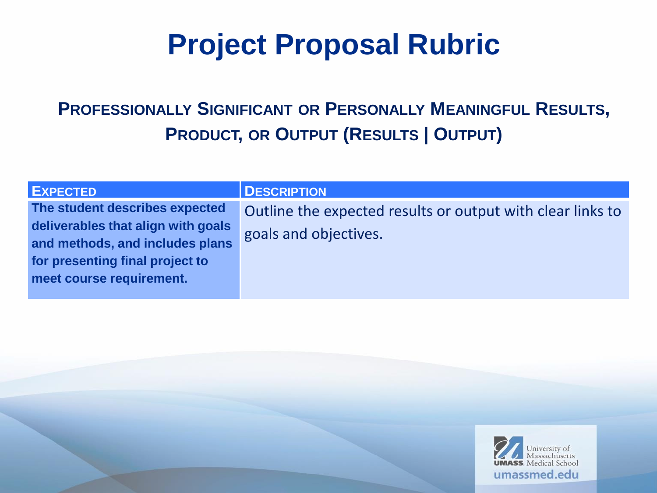### **PROFESSIONALLY SIGNIFICANT OR PERSONALLY MEANINGFUL RESULTS, PRODUCT, OR OUTPUT (RESULTS | OUTPUT)**

| <b>EXPECTED</b>                                                                                                                                                        | <b>DESCRIPTION</b>                                                                  |
|------------------------------------------------------------------------------------------------------------------------------------------------------------------------|-------------------------------------------------------------------------------------|
| The student describes expected<br>deliverables that align with goals<br>and methods, and includes plans<br>for presenting final project to<br>meet course requirement. | Outline the expected results or output with clear links to<br>goals and objectives. |

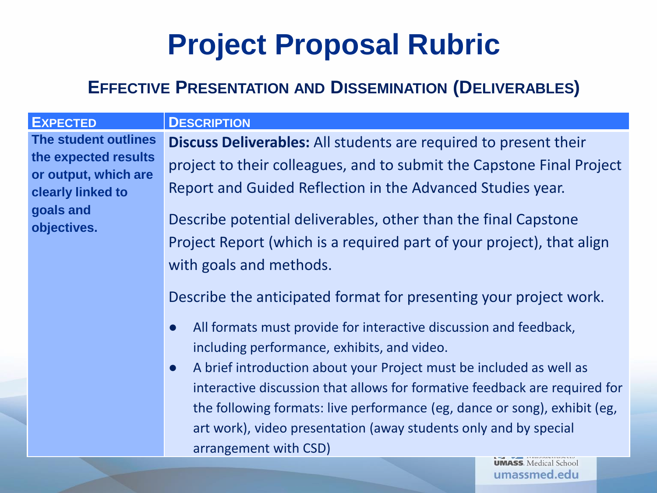#### **EFFECTIVE PRESENTATION AND DISSEMINATION (DELIVERABLES)**

| <b>EXPECTED</b>      | <b>DESC</b>  |
|----------------------|--------------|
| The student outlines | <b>Disci</b> |
| the expected results | proje        |
| or output, which are |              |
| clearly linked to    | Repo         |
| goals and            |              |
| objectives.          | Desc         |
|                      | Proie        |

**ERIPTION** 

**uss Deliverables:** All students are required to present their ect to their colleagues, and to submit the Capstone Final Project ort and Guided Reflection in the Advanced Studies year.

ribe potential deliverables, other than the final Capstone oject Report (which is a required part of your project), that align with goals and methods.

Describe the anticipated format for presenting your project work.

- All formats must provide for interactive discussion and feedback, including performance, exhibits, and video.
- A brief introduction about your Project must be included as well as interactive discussion that allows for formative feedback are required for the following formats: live performance (eg, dance or song), exhibit (eg, art work), video presentation (away students only and by special arrangement with CSD)

**UMASS**. Medical School umassmed.edu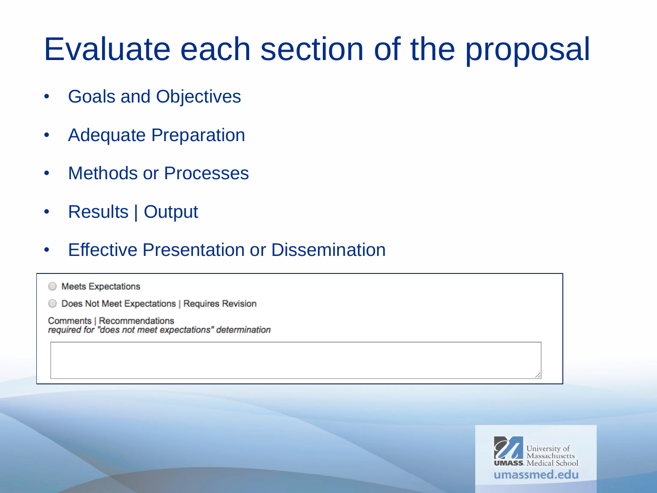# Evaluate each section of the proposal

- Goals and Objectives
- Adequate Preparation
- Methods or Processes
- Results | Output
- Effective Presentation or Dissemination

◯ Meets Expectations

Does Not Meet Expectations | Requires Revision  $\bigcirc$ 

**Comments | Recommendations** required for "does not meet expectations" determination

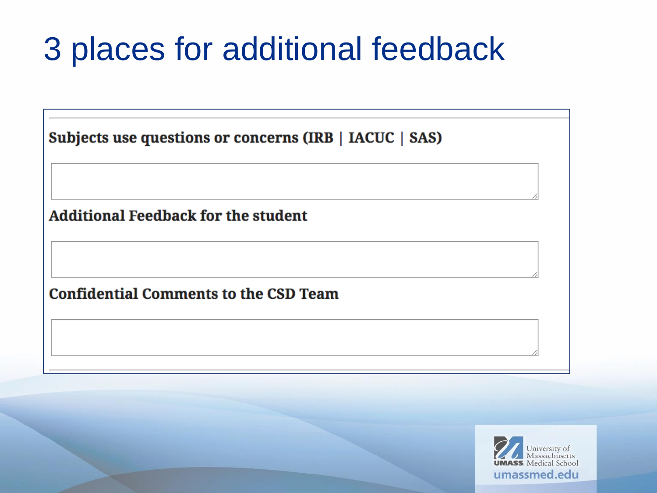# 3 places for additional feedback

| Subjects use questions or concerns (IRB   IACUC   SAS) |  |  |  |
|--------------------------------------------------------|--|--|--|
|                                                        |  |  |  |
| <b>Additional Feedback for the student</b>             |  |  |  |
|                                                        |  |  |  |
| <b>Confidential Comments to the CSD Team</b>           |  |  |  |
|                                                        |  |  |  |
|                                                        |  |  |  |

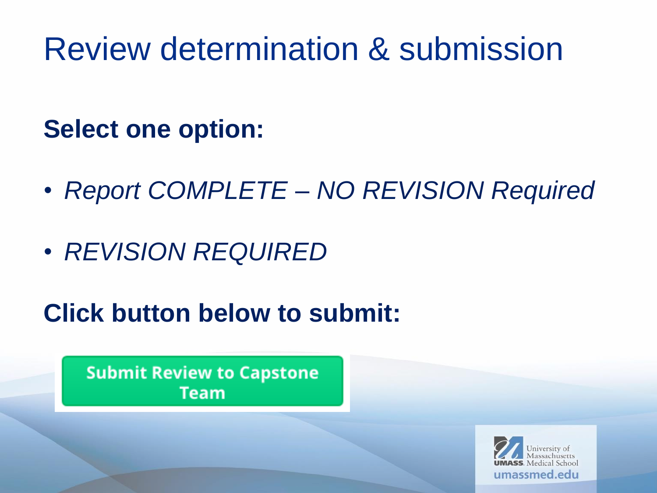# Review determination & submission

### **Select one option:**

- *Report COMPLETE – NO REVISION Required*
- *REVISION REQUIRED*

### **Click button below to submit:**

**Submit Review to Capstone Team** 

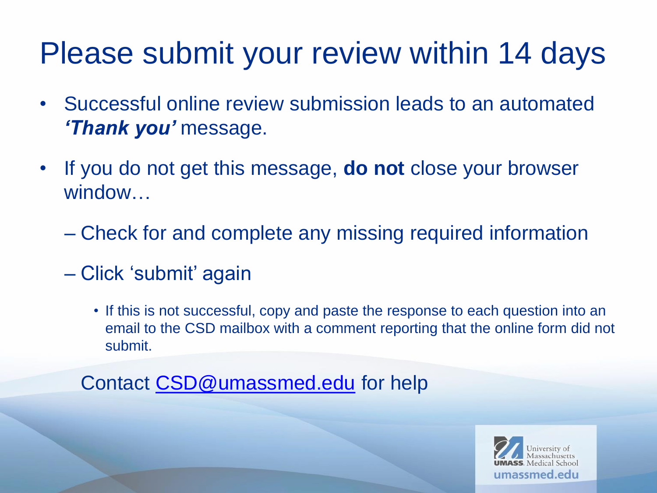# Please submit your review within 14 days

- Successful online review submission leads to an automated *'Thank you'* message.
- If you do not get this message, **do not** close your browser window…
	- Check for and complete any missing required information
	- Click 'submit' again
		- If this is not successful, copy and paste the response to each question into an email to the CSD mailbox with a comment reporting that the online form did not submit.

Contact [CSD@umassmed.edu](mailto:CSD@umassmed.edu) for help

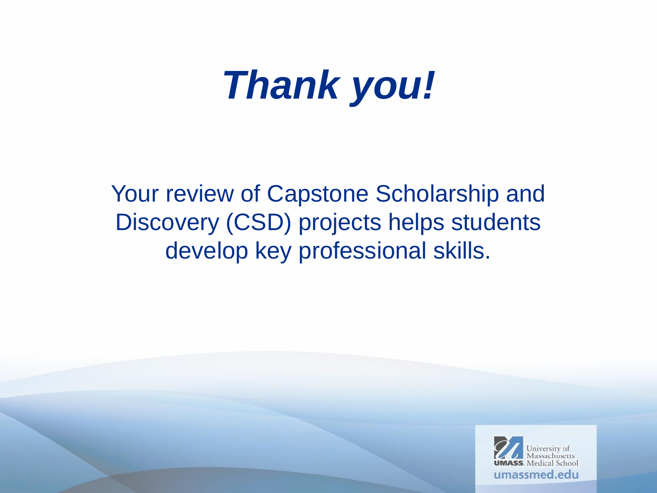# *Thank you!*

Your review of Capstone Scholarship and Discovery (CSD) projects helps students develop key professional skills.